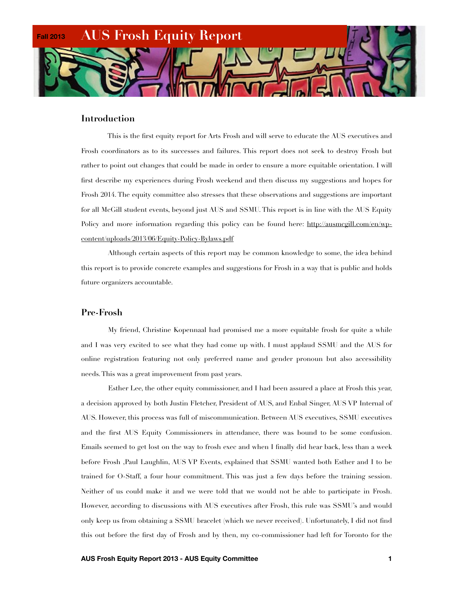

#### **Introduction**

 This is the first equity report for Arts Frosh and will serve to educate the AUS executives and Frosh coordinators as to its successes and failures. This report does not seek to destroy Frosh but rather to point out changes that could be made in order to ensure a more equitable orientation. I will first describe my experiences during Frosh weekend and then discuss my suggestions and hopes for Frosh 2014. The equity committee also stresses that these observations and suggestions are important for all McGill student events, beyond just AUS and SSMU. This report is in line with the AUS Equity Policy and more information regarding this policy can be found here: [http://ausmcgill.com/en/wp](http://ausmcgill.com/en/wp-content/uploads/2013/06/Equity-Policy-Bylaws.pdf)[content/uploads/2013/06/Equity-Policy-Bylaws.pdf](http://ausmcgill.com/en/wp-content/uploads/2013/06/Equity-Policy-Bylaws.pdf)

 Although certain aspects of this report may be common knowledge to some, the idea behind this report is to provide concrete examples and suggestions for Frosh in a way that is public and holds future organizers accountable.

## **Pre-Frosh**

 My friend, Christine Kopennaal had promised me a more equitable frosh for quite a while and I was very excited to see what they had come up with. I must applaud SSMU and the AUS for online registration featuring not only preferred name and gender pronoun but also accessibility needs. This was a great improvement from past years.

 Esther Lee, the other equity commissioner, and I had been assured a place at Frosh this year, a decision approved by both Justin Fletcher, President of AUS, and Enbal Singer, AUS VP Internal of AUS. However, this process was full of miscommunication. Between AUS executives, SSMU executives and the first AUS Equity Commissioners in attendance, there was bound to be some confusion. Emails seemed to get lost on the way to frosh exec and when I finally did hear back, less than a week before Frosh ,Paul Laughlin, AUS VP Events, explained that SSMU wanted both Esther and I to be trained for O-Staff, a four hour commitment. This was just a few days before the training session. Neither of us could make it and we were told that we would not be able to participate in Frosh. However, according to discussions with AUS executives after Frosh, this rule was SSMU's and would only keep us from obtaining a SSMU bracelet (which we never received). Unfortunately, I did not find this out before the first day of Frosh and by then, my co-commissioner had left for Toronto for the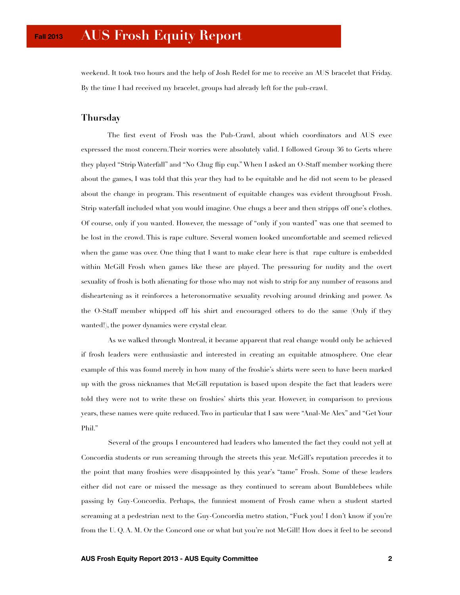weekend. It took two hours and the help of Josh Redel for me to receive an AUS bracelet that Friday. By the time I had received my bracelet, groups had already left for the pub-crawl.

## **Thursday**

 The first event of Frosh was the Pub-Crawl, about which coordinators and AUS exec expressed the most concern.Their worries were absolutely valid. I followed Group 36 to Gerts where they played "Strip Waterfall" and "No Chug flip cup." When I asked an O-Staff member working there about the games, I was told that this year they had to be equitable and he did not seem to be pleased about the change in program. This resentment of equitable changes was evident throughout Frosh. Strip waterfall included what you would imagine. One chugs a beer and then stripps off one's clothes. Of course, only if you wanted. However, the message of "only if you wanted" was one that seemed to be lost in the crowd. This is rape culture. Several women looked uncomfortable and seemed relieved when the game was over. One thing that I want to make clear here is that rape culture is embedded within McGill Frosh when games like these are played. The pressuring for nudity and the overt sexuality of frosh is both alienating for those who may not wish to strip for any number of reasons and disheartening as it reinforces a heteronormative sexuality revolving around drinking and power. As the O-Staff member whipped off his shirt and encouraged others to do the same (Only if they wanted!), the power dynamics were crystal clear.

 As we walked through Montreal, it became apparent that real change would only be achieved if frosh leaders were enthusiastic and interested in creating an equitable atmosphere. One clear example of this was found merely in how many of the froshie's shirts were seen to have been marked up with the gross nicknames that McGill reputation is based upon despite the fact that leaders were told they were not to write these on froshies' shirts this year. However, in comparison to previous years, these names were quite reduced. Two in particular that I saw were "Anal-Me Alex" and "Get Your Phil."

 Several of the groups I encountered had leaders who lamented the fact they could not yell at Concordia students or run screaming through the streets this year. McGill's reputation precedes it to the point that many froshies were disappointed by this year's "tame" Frosh. Some of these leaders either did not care or missed the message as they continued to scream about Bumblebees while passing by Guy-Concordia. Perhaps, the funniest moment of Frosh came when a student started screaming at a pedestrian next to the Guy-Concordia metro station, "Fuck you! I don't know if you're from the U. Q. A. M. Or the Concord one or what but you're not McGill! How does it feel to be second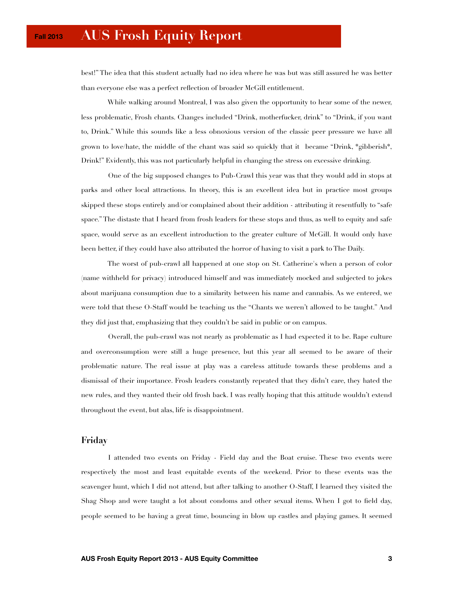best!" The idea that this student actually had no idea where he was but was still assured he was better than everyone else was a perfect reflection of broader McGill entitlement.

 While walking around Montreal, I was also given the opportunity to hear some of the newer, less problematic, Frosh chants. Changes included "Drink, motherfucker, drink" to "Drink, if you want to, Drink." While this sounds like a less obnoxious version of the classic peer pressure we have all grown to love/hate, the middle of the chant was said so quickly that it became "Drink, \*gibberish\*, Drink!" Evidently, this was not particularly helpful in changing the stress on excessive drinking.

 One of the big supposed changes to Pub-Crawl this year was that they would add in stops at parks and other local attractions. In theory, this is an excellent idea but in practice most groups skipped these stops entirely and/or complained about their addition - attributing it resentfully to "safe space." The distaste that I heard from frosh leaders for these stops and thus, as well to equity and safe space, would serve as an excellent introduction to the greater culture of McGill. It would only have been better, if they could have also attributed the horror of having to visit a park to The Daily.

 The worst of pub-crawl all happened at one stop on St. Catherine's when a person of color (name withheld for privacy) introduced himself and was immediately mocked and subjected to jokes about marijuana consumption due to a similarity between his name and cannabis. As we entered, we were told that these O-Staff would be teaching us the "Chants we weren't allowed to be taught." And they did just that, emphasizing that they couldn't be said in public or on campus.

 Overall, the pub-crawl was not nearly as problematic as I had expected it to be. Rape culture and overconsumption were still a huge presence, but this year all seemed to be aware of their problematic nature. The real issue at play was a careless attitude towards these problems and a dismissal of their importance. Frosh leaders constantly repeated that they didn't care, they hated the new rules, and they wanted their old frosh back. I was really hoping that this attitude wouldn't extend throughout the event, but alas, life is disappointment.

#### **Friday**

 I attended two events on Friday - Field day and the Boat cruise. These two events were respectively the most and least equitable events of the weekend. Prior to these events was the scavenger hunt, which I did not attend, but after talking to another O-Staff, I learned they visited the Shag Shop and were taught a lot about condoms and other sexual items. When I got to field day, people seemed to be having a great time, bouncing in blow up castles and playing games. It seemed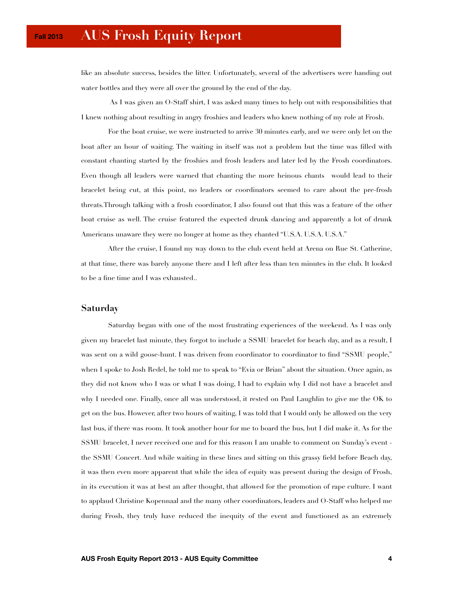like an absolute success, besides the litter. Unfortunately, several of the advertisers were handing out water bottles and they were all over the ground by the end of the day.

 As I was given an O-Staff shirt, I was asked many times to help out with responsibilities that I knew nothing about resulting in angry froshies and leaders who knew nothing of my role at Frosh.

 For the boat cruise, we were instructed to arrive 30 minutes early, and we were only let on the boat after an hour of waiting. The waiting in itself was not a problem but the time was filled with constant chanting started by the froshies and frosh leaders and later led by the Frosh coordinators. Even though all leaders were warned that chanting the more heinous chants would lead to their bracelet being cut, at this point, no leaders or coordinators seemed to care about the pre-frosh threats.Through talking with a frosh coordinator, I also found out that this was a feature of the other boat cruise as well. The cruise featured the expected drunk dancing and apparently a lot of drunk Americans unaware they were no longer at home as they chanted "U.S.A. U.S.A. U.S.A."

 After the cruise, I found my way down to the club event held at Arena on Rue St. Catherine, at that time, there was barely anyone there and I left after less than ten minutes in the club. It looked to be a fine time and I was exhausted..

### **Saturday**

 Saturday began with one of the most frustrating experiences of the weekend. As I was only given my bracelet last minute, they forgot to include a SSMU bracelet for beach day, and as a result, I was sent on a wild goose-hunt. I was driven from coordinator to coordinator to find "SSMU people," when I spoke to Josh Redel, he told me to speak to "Evia or Brian" about the situation. Once again, as they did not know who I was or what I was doing, I had to explain why I did not have a bracelet and why I needed one. Finally, once all was understood, it rested on Paul Laughlin to give me the OK to get on the bus. However, after two hours of waiting, I was told that I would only be allowed on the very last bus, if there was room. It took another hour for me to board the bus, but I did make it. As for the SSMU bracelet, I never received one and for this reason I am unable to comment on Sunday's event the SSMU Concert. And while waiting in these lines and sitting on this grassy field before Beach day, it was then even more apparent that while the idea of equity was present during the design of Frosh, in its execution it was at best an after thought, that allowed for the promotion of rape culture. I want to applaud Christine Kopennaal and the many other coordinators, leaders and O-Staff who helped me during Frosh, they truly have reduced the inequity of the event and functioned as an extremely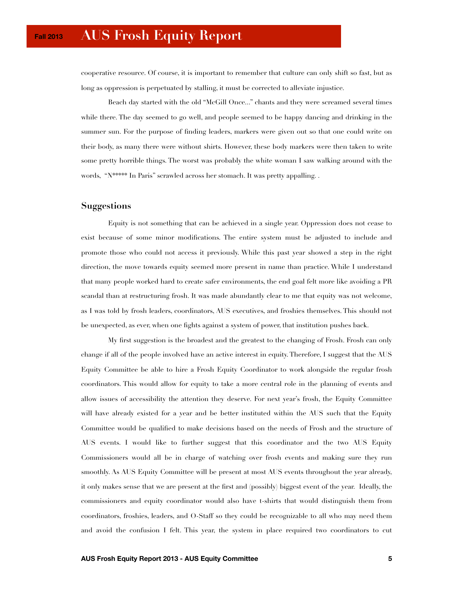cooperative resource. Of course, it is important to remember that culture can only shift so fast, but as long as oppression is perpetuated by stalling, it must be corrected to alleviate injustice.

 Beach day started with the old "McGill Once..." chants and they were screamed several times while there. The day seemed to go well, and people seemed to be happy dancing and drinking in the summer sun. For the purpose of finding leaders, markers were given out so that one could write on their body, as many there were without shirts. However, these body markers were then taken to write some pretty horrible things. The worst was probably the white woman I saw walking around with the words, "N\*\*\*\*\* In Paris" scrawled across her stomach. It was pretty appalling. .

## **Suggestions**

 Equity is not something that can be achieved in a single year. Oppression does not cease to exist because of some minor modifications. The entire system must be adjusted to include and promote those who could not access it previously. While this past year showed a step in the right direction, the move towards equity seemed more present in name than practice. While I understand that many people worked hard to create safer environments, the end goal felt more like avoiding a PR scandal than at restructuring frosh. It was made abundantly clear to me that equity was not welcome, as I was told by frosh leaders, coordinators, AUS executives, and froshies themselves. This should not be unexpected, as ever, when one fights against a system of power, that institution pushes back.

 My first suggestion is the broadest and the greatest to the changing of Frosh. Frosh can only change if all of the people involved have an active interest in equity. Therefore, I suggest that the AUS Equity Committee be able to hire a Frosh Equity Coordinator to work alongside the regular frosh coordinators. This would allow for equity to take a more central role in the planning of events and allow issues of accessibility the attention they deserve. For next year's frosh, the Equity Committee will have already existed for a year and be better instituted within the AUS such that the Equity Committee would be qualified to make decisions based on the needs of Frosh and the structure of AUS events. I would like to further suggest that this coordinator and the two AUS Equity Commissioners would all be in charge of watching over frosh events and making sure they run smoothly. As AUS Equity Committee will be present at most AUS events throughout the year already, it only makes sense that we are present at the first and (possibly) biggest event of the year. Ideally, the commissioners and equity coordinator would also have t-shirts that would distinguish them from coordinators, froshies, leaders, and O-Staff so they could be recognizable to all who may need them and avoid the confusion I felt. This year, the system in place required two coordinators to cut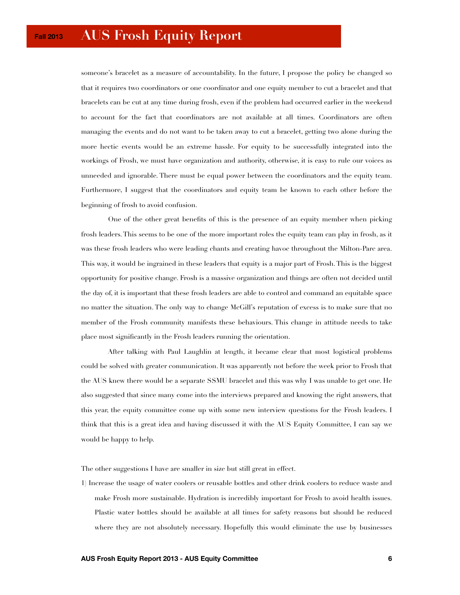# **AUS Frosh Equity Report**

someone's bracelet as a measure of accountability. In the future, I propose the policy be changed so that it requires two coordinators or one coordinator and one equity member to cut a bracelet and that bracelets can be cut at any time during frosh, even if the problem had occurred earlier in the weekend to account for the fact that coordinators are not available at all times. Coordinators are often managing the events and do not want to be taken away to cut a bracelet, getting two alone during the more hectic events would be an extreme hassle. For equity to be successfully integrated into the workings of Frosh, we must have organization and authority, otherwise, it is easy to rule our voices as unneeded and ignorable. There must be equal power between the coordinators and the equity team. Furthermore, I suggest that the coordinators and equity team be known to each other before the beginning of frosh to avoid confusion.

 One of the other great benefits of this is the presence of an equity member when picking frosh leaders. This seems to be one of the more important roles the equity team can play in frosh, as it was these frosh leaders who were leading chants and creating havoc throughout the Milton-Parc area. This way, it would be ingrained in these leaders that equity is a major part of Frosh. This is the biggest opportunity for positive change. Frosh is a massive organization and things are often not decided until the day of, it is important that these frosh leaders are able to control and command an equitable space no matter the situation. The only way to change McGill's reputation of excess is to make sure that no member of the Frosh community manifests these behaviours. This change in attitude needs to take place most significantly in the Frosh leaders running the orientation.

 After talking with Paul Laughlin at length, it became clear that most logistical problems could be solved with greater communication. It was apparently not before the week prior to Frosh that the AUS knew there would be a separate SSMU bracelet and this was why I was unable to get one. He also suggested that since many come into the interviews prepared and knowing the right answers, that this year, the equity committee come up with some new interview questions for the Frosh leaders. I think that this is a great idea and having discussed it with the AUS Equity Committee, I can say we would be happy to help.

The other suggestions I have are smaller in size but still great in effect.

1) Increase the usage of water coolers or reusable bottles and other drink coolers to reduce waste and make Frosh more sustainable. Hydration is incredibly important for Frosh to avoid health issues. Plastic water bottles should be available at all times for safety reasons but should be reduced where they are not absolutely necessary. Hopefully this would eliminate the use by businesses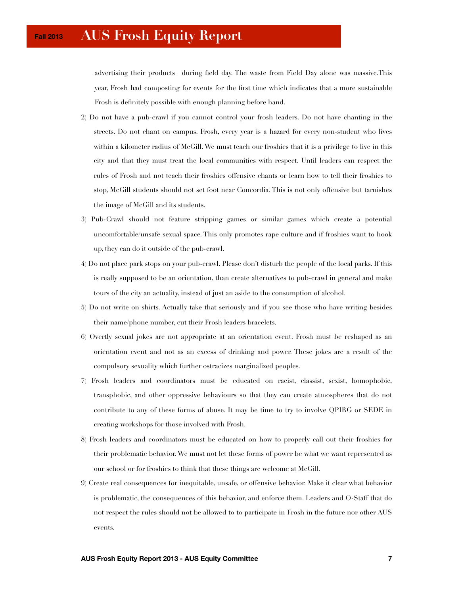advertising their products during field day. The waste from Field Day alone was massive.This year, Frosh had composting for events for the first time which indicates that a more sustainable Frosh is definitely possible with enough planning before hand.

- 2) Do not have a pub-crawl if you cannot control your frosh leaders. Do not have chanting in the streets. Do not chant on campus. Frosh, every year is a hazard for every non-student who lives within a kilometer radius of McGill. We must teach our froshies that it is a privilege to live in this city and that they must treat the local communities with respect. Until leaders can respect the rules of Frosh and not teach their froshies offensive chants or learn how to tell their froshies to stop, McGill students should not set foot near Concordia. This is not only offensive but tarnishes the image of McGill and its students.
- 3) Pub-Crawl should not feature stripping games or similar games which create a potential uncomfortable/unsafe sexual space. This only promotes rape culture and if froshies want to hook up, they can do it outside of the pub-crawl.
- 4) Do not place park stops on your pub-crawl. Please don't disturb the people of the local parks. If this is really supposed to be an orientation, than create alternatives to pub-crawl in general and make tours of the city an actuality, instead of just an aside to the consumption of alcohol.
- 5) Do not write on shirts. Actually take that seriously and if you see those who have writing besides their name/phone number, cut their Frosh leaders bracelets.
- 6) Overtly sexual jokes are not appropriate at an orientation event. Frosh must be reshaped as an orientation event and not as an excess of drinking and power. These jokes are a result of the compulsory sexuality which further ostracizes marginalized peoples.
- 7) Frosh leaders and coordinators must be educated on racist, classist, sexist, homophobic, transphobic, and other oppressive behaviours so that they can create atmospheres that do not contribute to any of these forms of abuse. It may be time to try to involve QPIRG or SEDE in creating workshops for those involved with Frosh.
- 8) Frosh leaders and coordinators must be educated on how to properly call out their froshies for their problematic behavior. We must not let these forms of power be what we want represented as our school or for froshies to think that these things are welcome at McGill.
- 9) Create real consequences for inequitable, unsafe, or offensive behavior. Make it clear what behavior is problematic, the consequences of this behavior, and enforce them. Leaders and O-Staff that do not respect the rules should not be allowed to to participate in Frosh in the future nor other AUS events.